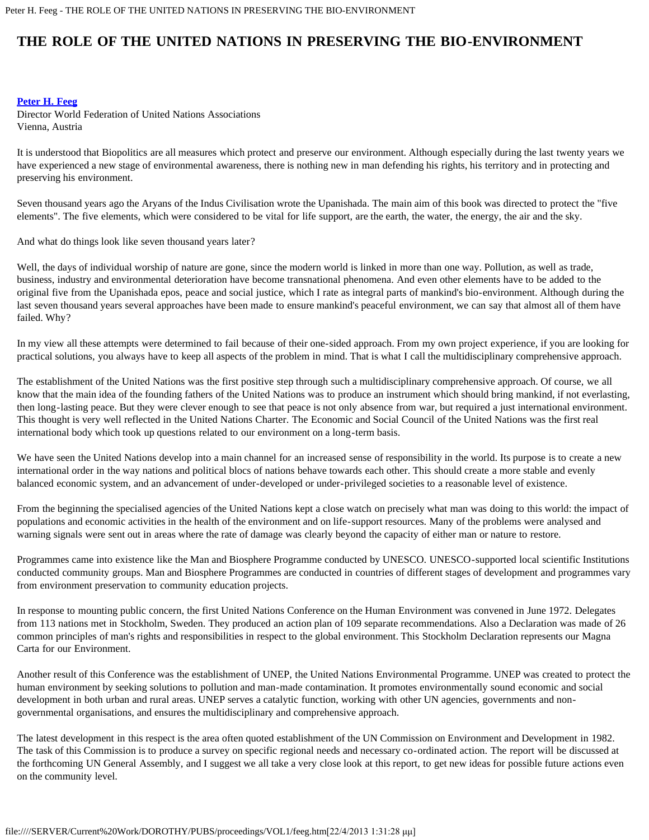## **THE ROLE OF THE UNITED NATIONS IN PRESERVING THE BIO-ENVIRONMENT**

## **[Peter H. Feeg](#page-2-0)**

Director World Federation of United Nations Associations Vienna, Austria

It is understood that Biopolitics are all measures which protect and preserve our environment. Although especially during the last twenty years we have experienced a new stage of environmental awareness, there is nothing new in man defending his rights, his territory and in protecting and preserving his environment.

Seven thousand years ago the Aryans of the Indus Civilisation wrote the Upanishada. The main aim of this book was directed to protect the "five elements". The five elements, which were considered to be vital for life support, are the earth, the water, the energy, the air and the sky.

And what do things look like seven thousand years later?

Well, the days of individual worship of nature are gone, since the modern world is linked in more than one way. Pollution, as well as trade, business, industry and environmental deterioration have become transnational phenomena. And even other elements have to be added to the original five from the Upanishada epos, peace and social justice, which I rate as integral parts of mankind's bio-environment. Although during the last seven thousand years several approaches have been made to ensure mankind's peaceful environment, we can say that almost all of them have failed. Why?

In my view all these attempts were determined to fail because of their one-sided approach. From my own project experience, if you are looking for practical solutions, you always have to keep all aspects of the problem in mind. That is what I call the multidisciplinary comprehensive approach.

The establishment of the United Nations was the first positive step through such a multidisciplinary comprehensive approach. Of course, we all know that the main idea of the founding fathers of the United Nations was to produce an instrument which should bring mankind, if not everlasting, then long-lasting peace. But they were clever enough to see that peace is not only absence from war, but required a just international environment. This thought is very well reflected in the United Nations Charter. The Economic and Social Council of the United Nations was the first real international body which took up questions related to our environment on a long-term basis.

We have seen the United Nations develop into a main channel for an increased sense of responsibility in the world. Its purpose is to create a new international order in the way nations and political blocs of nations behave towards each other. This should create a more stable and evenly balanced economic system, and an advancement of under-developed or under-privileged societies to a reasonable level of existence.

From the beginning the specialised agencies of the United Nations kept a close watch on precisely what man was doing to this world: the impact of populations and economic activities in the health of the environment and on life-support resources. Many of the problems were analysed and warning signals were sent out in areas where the rate of damage was clearly beyond the capacity of either man or nature to restore.

Programmes came into existence like the Man and Biosphere Programme conducted by UNESCO. UNESCO-supported local scientific Institutions conducted community groups. Man and Biosphere Programmes are conducted in countries of different stages of development and programmes vary from environment preservation to community education projects.

In response to mounting public concern, the first United Nations Conference on the Human Environment was convened in June 1972. Delegates from 113 nations met in Stockholm, Sweden. They produced an action plan of 109 separate recommendations. Also a Declaration was made of 26 common principles of man's rights and responsibilities in respect to the global environment. This Stockholm Declaration represents our Magna Carta for our Environment.

Another result of this Conference was the establishment of UNEP, the United Nations Environmental Programme. UNEP was created to protect the human environment by seeking solutions to pollution and man-made contamination. It promotes environmentally sound economic and social development in both urban and rural areas. UNEP serves a catalytic function, working with other UN agencies, governments and nongovernmental organisations, and ensures the multidisciplinary and comprehensive approach.

The latest development in this respect is the area often quoted establishment of the UN Commission on Environment and Development in 1982. The task of this Commission is to produce a survey on specific regional needs and necessary co-ordinated action. The report will be discussed at the forthcoming UN General Assembly, and I suggest we all take a very close look at this report, to get new ideas for possible future actions even on the community level.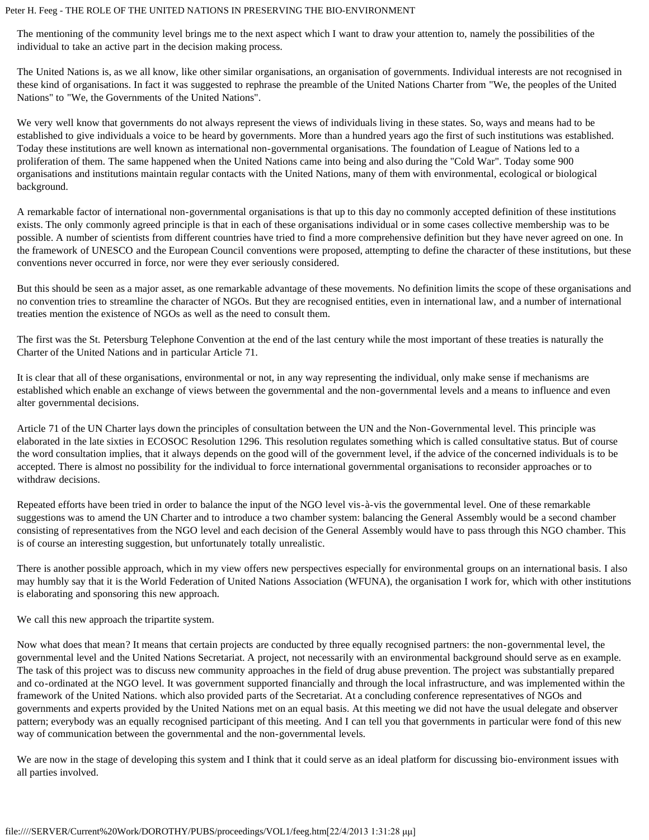## Peter H. Feeg - THE ROLE OF THE UNITED NATIONS IN PRESERVING THE BIO-ENVIRONMENT

The mentioning of the community level brings me to the next aspect which I want to draw your attention to, namely the possibilities of the individual to take an active part in the decision making process.

The United Nations is, as we all know, like other similar organisations, an organisation of governments. Individual interests are not recognised in these kind of organisations. In fact it was suggested to rephrase the preamble of the United Nations Charter from "We, the peoples of the United Nations" to "We, the Governments of the United Nations".

We very well know that governments do not always represent the views of individuals living in these states. So, ways and means had to be established to give individuals a voice to be heard by governments. More than a hundred years ago the first of such institutions was established. Today these institutions are well known as international non-governmental organisations. The foundation of League of Nations led to a proliferation of them. The same happened when the United Nations came into being and also during the "Cold War". Today some 900 organisations and institutions maintain regular contacts with the United Nations, many of them with environmental, ecological or biological background.

A remarkable factor of international non-governmental organisations is that up to this day no commonly accepted definition of these institutions exists. The only commonly agreed principle is that in each of these organisations individual or in some cases collective membership was to be possible. A number of scientists from different countries have tried to find a more comprehensive definition but they have never agreed on one. In the framework of UNESCO and the European Council conventions were proposed, attempting to define the character of these institutions, but these conventions never occurred in force, nor were they ever seriously considered.

But this should be seen as a major asset, as one remarkable advantage of these movements. No definition limits the scope of these organisations and no convention tries to streamline the character of NGOs. But they are recognised entities, even in international law, and a number of international treaties mention the existence of NGOs as well as the need to consult them.

The first was the St. Petersburg Telephone Convention at the end of the last century while the most important of these treaties is naturally the Charter of the United Nations and in particular Article 71.

It is clear that all of these organisations, environmental or not, in any way representing the individual, only make sense if mechanisms are established which enable an exchange of views between the governmental and the non-governmental levels and a means to influence and even alter governmental decisions.

Article 71 of the UN Charter lays down the principles of consultation between the UN and the Non-Governmental level. This principle was elaborated in the late sixties in ECOSOC Resolution 1296. This resolution regulates something which is called consultative status. But of course the word consultation implies, that it always depends on the good will of the government level, if the advice of the concerned individuals is to be accepted. There is almost no possibility for the individual to force international governmental organisations to reconsider approaches or to withdraw decisions.

Repeated efforts have been tried in order to balance the input of the NGO level vis-à-vis the governmental level. One of these remarkable suggestions was to amend the UN Charter and to introduce a two chamber system: balancing the General Assembly would be a second chamber consisting of representatives from the NGO level and each decision of the General Assembly would have to pass through this NGO chamber. This is of course an interesting suggestion, but unfortunately totally unrealistic.

There is another possible approach, which in my view offers new perspectives especially for environmental groups on an international basis. I also may humbly say that it is the World Federation of United Nations Association (WFUNA), the organisation I work for, which with other institutions is elaborating and sponsoring this new approach.

We call this new approach the tripartite system.

Now what does that mean? It means that certain projects are conducted by three equally recognised partners: the non-governmental level, the governmental level and the United Nations Secretariat. A project, not necessarily with an environmental background should serve as en example. The task of this project was to discuss new community approaches in the field of drug abuse prevention. The project was substantially prepared and co-ordinated at the NGO level. It was government supported financially and through the local infrastructure, and was implemented within the framework of the United Nations. which also provided parts of the Secretariat. At a concluding conference representatives of NGOs and governments and experts provided by the United Nations met on an equal basis. At this meeting we did not have the usual delegate and observer pattern; everybody was an equally recognised participant of this meeting. And I can tell you that governments in particular were fond of this new way of communication between the governmental and the non-governmental levels.

We are now in the stage of developing this system and I think that it could serve as an ideal platform for discussing bio-environment issues with all parties involved.